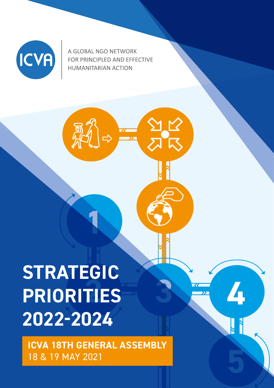

A GLOBAL NGO NETWORK FOR PRINCIPLED AND EFFECTIVE **HUMANITARIAN ACTION** 

 $\Rightarrow$ 

# **2 PRIORITIES STRATEGIC 2022-2024**

**ICVA 18TH GENERAL ASSEMBLY**  18 & 19 MAY 2021

**4**

**3**

**5**

**1**

一、同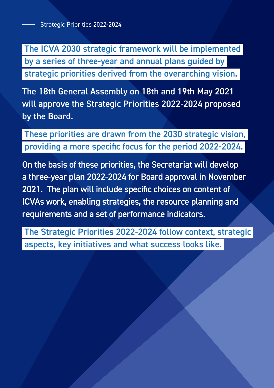The ICVA 2030 strategic framework will be implemented by a series of three-year and annual plans guided by strategic priorities derived from the overarching vision.

The 18th General Assembly on 18th and 19th May 2021 will approve the Strategic Priorities 2022-2024 proposed by the Board.

 These priorities are drawn from the 2030 strategic vision, providing a more specific focus for the period 2022-2024.

On the basis of these priorities, the Secretariat will develop a three-year plan 2022-2024 for Board approval in November 2021. The plan will include specific choices on content of ICVAs work, enabling strategies, the resource planning and requirements and a set of performance indicators.

 The Strategic Priorities 2022-2024 follow context, strategic aspects, key initiatives and what success looks like.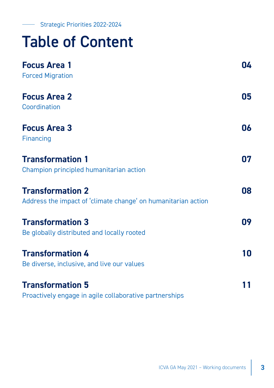# Table of Content

| <b>Focus Area 1</b>                                           | 04 |
|---------------------------------------------------------------|----|
| <b>Forced Migration</b>                                       |    |
| <b>Focus Area 2</b>                                           | 05 |
| Coordination                                                  |    |
| <b>Focus Area 3</b>                                           | 06 |
| Financing                                                     |    |
| <b>Transformation 1</b>                                       | 07 |
| Champion principled humanitarian action                       |    |
| <b>Transformation 2</b>                                       | 80 |
| Address the impact of 'climate change' on humanitarian action |    |
| <b>Transformation 3</b>                                       | 09 |
| Be globally distributed and locally rooted                    |    |
| <b>Transformation 4</b>                                       | 10 |
| Be diverse, inclusive, and live our values                    |    |
| <b>Transformation 5</b>                                       | 11 |
| Proactively engage in agile collaborative partnerships        |    |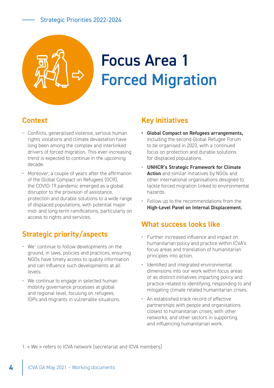# <span id="page-3-0"></span>Focus Area 1 Forced Migration

## **Context**

- Conflicts, generalised violence, serious human rights violations and climate devastation have long been among the complex and interlinked drivers of forced migration. This ever-increasing trend is expected to continue in the upcoming decade.
- Moreover, a couple of years after the affirmation of the Global Compact on Refugees (GCR), the COVID-19 pandemic emerged as a global disruptor to the provision of assistance, protection and durable solutions to a wide range of displaced populations, with potential major mid- and long-term ramifications, particularly on access to rights and services.

# **Strategic priority/aspects**

- $\cdot$  We<sup>1</sup> continue to follow developments on the ground, in laws, policies and practices, ensuring NGOs have timely access to quality information and can influence such developments at all levels.
- We continue to engage in selected human mobility governance processes at global and regional level, focusing on refugees, IDPs and migrants in vulnerable situations.

#### **Key initiatives**

- **• Global Compact on Refugees arrangements,**  including the second Global Refugee Forum to be organised in 2023, with a continued focus on protection and durable solutions for displaced populations.
- **UNHCR's Strategic Framework for Climate Action** and similar initiatives by NGOs and other international organisations designed to tackle forced migration linked to environmental hazards.
- Follow up to the recommendations from the **High-Level Panel on Internal Displacement.**

#### **What success looks like**

- Further increased influence and impact on humanitarian policy and practice within ICVA's focus areas and translation of humanitarian principles into action.
- Identified and integrated environmental dimensions into our work within focus areas or as distinct initiatives impacting policy and practice related to identifying, responding to and mitigating climate related humanitarian crises.
- An established track record of effective partnerships with people and organisations closest to humanitarian crises; with other networks, and other sectors in supporting and influencing humanitarian work.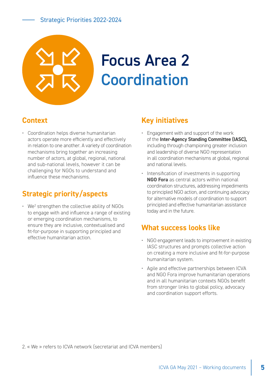<span id="page-4-0"></span>

# **Context**

• Coordination helps diverse humanitarian actors operate more efficiently and effectively in relation to one another. A variety of coordination mechanisms bring together an increasing number of actors, at global, regional, national and sub-national levels, however it can be challenging for NGOs to understand and influence these mechanisms.

# **Strategic priority/aspects**

 $\cdot$  We<sup>2</sup> strengthen the collective ability of NGOs to engage with and influence a range of existing or emerging coordination mechanisms, to ensure they are inclusive, contextualised and fit-for-purpose in supporting principled and effective humanitarian action.

### **Key initiatives**

- Engagement with and support of the work of the **Inter-Agency Standing Committee (IASC),** including through championing greater inclusion and leadership of diverse NGO representation in all coordination mechanisms at global, regional and national levels.
- Intensification of investments in supporting **NGO Fora** as central actors within national coordination structures, addressing impediments to principled NGO action, and continuing advocacy for alternative models of coordination to support principled and effective humanitarian assistance today and in the future.

## **What success looks like**

- NGO engagement leads to improvement in existing IASC structures and prompts collective action on creating a more inclusive and fit-for-purpose humanitarian system.
- Agile and effective partnerships between ICVA and NGO Fora improve humanitarian operations and in all humanitarian contexts NGOs benefit from stronger links to global policy, advocacy and coordination support efforts.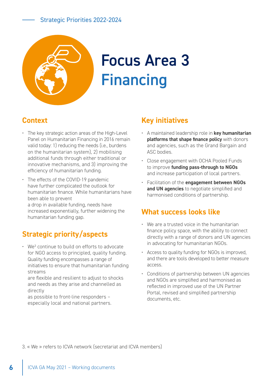<span id="page-5-0"></span>

# Focus Area 3 **Financing**

# **Context**

- The key strategic action areas of the High-Level Panel on Humanitarian Financing in 2016 remain valid today: 1) reducing the needs (i.e., burdens on the humanitarian system), 2) mobilising additional funds through either traditional or innovative mechanisms, and 3) improving the efficiency of humanitarian funding.
- The effects of the COVID-19 pandemic have further complicated the outlook for humanitarian finance. While humanitarians have been able to prevent a drop in available funding, needs have increased exponentially, further widening the humanitarian funding gap.

# **Strategic priority/aspects**

• We<sup>3</sup> continue to build on efforts to advocate for NGO access to principled, quality funding. Quality funding encompasses a range of initiatives to ensure that humanitarian funding streams

are flexible and resilient to adjust to shocks and needs as they arise and channelled as directly

as possible to front-line responders – especially local and national partners.

## **Key initiatives**

- A maintained leadership role in **key humanitarian platforms that shape finance policy** with donors and agencies, such as the Grand Bargain and ASC bodies.
- Close engagement with OCHA Pooled Funds to improve **funding pass-through to NGOs** and increase participation of local partners.
- Facilitation of the **engagement between NGOs and UN agencies** to negotiate simplified and harmonised conditions of partnership.

### **What success looks like**

- We are a trusted voice in the humanitarian finance policy space, with the ability to connect directly with a range of donors and UN agencies in advocating for humanitarian NGOs.
- Access to quality funding for NGOs is improved, and there are tools developed to better measure access.
- Conditions of partnership between UN agencies and NGOs are simplified and harmonised as reflected in improved use of the UN Partner Portal, revised and simplified partnership documents, etc.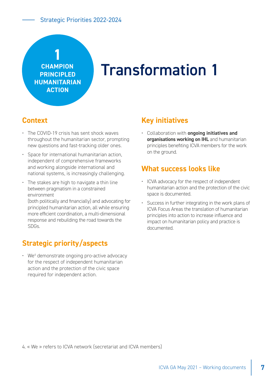<span id="page-6-0"></span>

# Transformation 1

#### **Context**

- The COVID-19 crisis has sent shock waves throughout the humanitarian sector, prompting new questions and fast-tracking older ones.
- Space for international humanitarian action. independent of comprehensive frameworks and working alongside international and national systems, is increasingly challenging.
- The stakes are high to navigate a thin line between pragmatism in a constrained environment

(both politically and financially) and advocating for principled humanitarian action, all while ensuring more efficient coordination, a multi-dimensional response and rebuilding the road towards the SDGs.

## **Strategic priority/aspects**

• We<sup>4</sup> demonstrate ongoing pro-active advocacy for the respect of independent humanitarian action and the protection of the civic space required for independent action.

#### **Key initiatives**

• Collaboration with **ongoing initiatives and organisations working on IHL** and humanitarian principles benefiting ICVA members for the work on the ground.

#### **What success looks like**

- ICVA advocacy for the respect of independent humanitarian action and the protection of the civic space is documented.
- Success in further integrating in the work plans of ICVA Focus Areas the translation of humanitarian principles into action to increase influence and impact on humanitarian policy and practice is documented.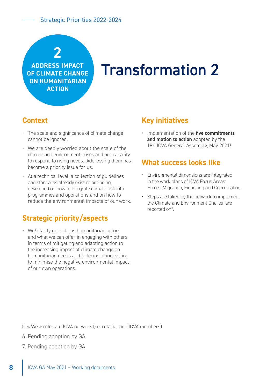# **2**

<span id="page-7-0"></span>**ADDRESS IMPACT OF CLIMATE CHANGE ON HUMANITARIAN ACTION**

# Transformation 2

#### **Context**

- The scale and significance of climate change cannot be ignored.
- We are deeply worried about the scale of the climate and environment crises and our capacity to respond to rising needs. Addressing them has become a priority issue for us.
- At a technical level, a collection of guidelines and standards already exist or are being developed on how to integrate climate risk into programmes and operations and on how to reduce the environmental impacts of our work.

## **Strategic priority/aspects**

 $\cdot$  We<sup>5</sup> clarify our role as humanitarian actors and what we can offer in engaging with others in terms of mitigating and adapting action to the increasing impact of climate change on humanitarian needs and in terms of innovating to minimise the negative environmental impact of our own operations.

#### **Key initiatives**

• Implementation of the **five commitments and motion to action** adopted by the 18<sup>th</sup> ICVA General Assembly, May 2021<sup>6</sup>.

#### **What success looks like**

- Environmental dimensions are integrated in the work plans of ICVA Focus Areas: Forced Migration, Financing and Coordination.
- Steps are taken by the network to implement the Climate and Environment Charter are reported on<sup>7</sup>.

- 6. Pending adoption by GA
- 7. Pending adoption by GA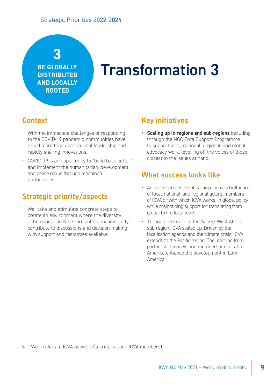# <span id="page-8-0"></span>**3**

**BE GLOBALLY DISTRIBUTED AND LOCALLY ROOTED**

# Transformation 3

### **Context**

- With the immediate challenges of responding to the COVID-19 pandemic, communities have relied more than ever on local leadership and rapidly sharing innovations.
- COVID-19 is an opportunity to "build back better" and implement the humanitarian, development and peace nexus through meaningful partnerships.

## **Strategic priority/aspects**

• We<sup>8</sup> take and stimulate concrete steps to create an environment where the diversity of humanitarian NGOs are able to meaningfully contribute to discussions and decision-making with support and resources available.

#### **Key initiatives**

**• Scaling up in regions and sub-regions** including through the NGO Fora Support Programme to support local, national, regional, and global advocacy work, levering off the voices of those closest to the issues at hand.

#### **What success looks like**

- An increased degree of participation and influence of local, national, and regional actors, members of ICVA or with which ICVA works, in global policy while maintaining support for translating from global to the local level.
- Through presence in the Sahel/ West Africa sub-region, ICVA scaled up. Driven by the localisation agenda and the climate crisis, ICVA extends to the Pacific region. The learning from partnership models and membership in Latin America enhance the development in Latin America.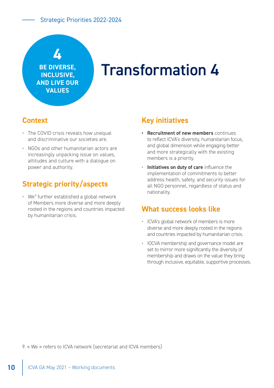<span id="page-9-0"></span>

**BE DIVERSE, INCLUSIVE, AND LIVE OUR VALUES**

# Transformation 4

#### **Context**

- The COVID crisis reveals how unequal and discriminative our societies are.
- NGOs and other humanitarian actors are increasingly unpacking issue on values, attitudes and culture with a dialogue on power and authority.

# **Strategic priority/aspects**

 $\cdot$  We<sup>9</sup> further established a global network of Members more diverse and more deeply rooted in the regions and countries impacted by humanitarian crisis.

#### **Key initiatives**

- **• Recruitment of new members** continues to reflect ICVA's diversity, humanitarian focus, and global dimension while engaging better and more strategically with the existing members is a priority.
- **Initiatives on duty of care** influence the implementation of commitments to better address health, safety, and security issues for all NGO personnel, regardless of status and nationality.

#### **What success looks like**

- ICVA's global network of members is more diverse and more deeply rooted in the regions and countries impacted by humanitarian crisis.
- IOCVA membership and governance model are set to mirror more significantly the diversity of membership and draws on the value they bring through inclusive, equitable, supportive processes.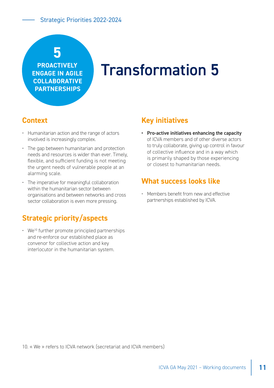# <span id="page-10-0"></span>**5**

**PROACTIVELY ENGAGE IN AGILE COLLABORATIVE PARTNERSHIPS**

# Transformation 5

# **Context**

- Humanitarian action and the range of actors involved is increasingly complex.
- The gap between humanitarian and protection needs and resources is wider than ever. Timely, flexible, and sufficient funding is not meeting the urgent needs of vulnerable people at an alarming scale.
- The imperative for meaningful collaboration within the humanitarian sector between organisations and between networks and cross sector collaboration is even more pressing.

# **Strategic priority/aspects**

 $\cdot$  We<sup>10</sup> further promote principled partnerships and re-enforce our established place as convenor for collective action and key interlocutor in the humanitarian system.

### **Key initiatives**

**• Pro-active initiatives enhancing the capacity**  of ICVA members and of other diverse actors to truly collaborate, giving up control in favour of collective influence and in a way which is primarily shaped by those experiencing or closest to humanitarian needs.

### **What success looks like**

• Members benefit from new and effective partnerships established by ICVA.